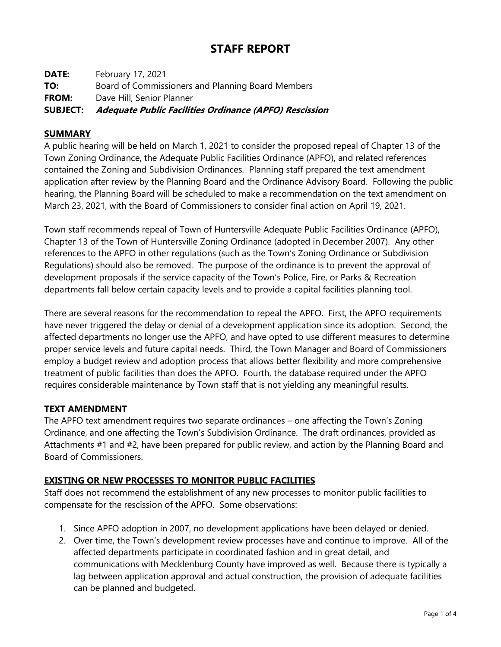# **STAFF REPORT**

**DATE:** February 17, 2021 **TO:** Board of Commissioners and Planning Board Members **FROM:** Dave Hill, Senior Planner **SUBJECT: Adequate Public Facilities Ordinance (APFO) Rescission**

#### **SUMMARY**

A public hearing will be held on March 1, 2021 to consider the proposed repeal of Chapter 13 of the Town Zoning Ordinance, the Adequate Public Facilities Ordinance (APFO), and related references contained the Zoning and Subdivision Ordinances. Planning staff prepared the text amendment application after review by the Planning Board and the Ordinance Advisory Board. Following the public hearing, the Planning Board will be scheduled to make a recommendation on the text amendment on March 23, 2021, with the Board of Commissioners to consider final action on April 19, 2021.

Town staff recommends repeal of Town of Huntersville Adequate Public Facilities Ordinance (APFO), Chapter 13 of the Town of Huntersville Zoning Ordinance (adopted in December 2007). Any other references to the APFO in other regulations (such as the Town's Zoning Ordinance or Subdivision Regulations) should also be removed. The purpose of the ordinance is to prevent the approval of development proposals if the service capacity of the Town's Police, Fire, or Parks & Recreation departments fall below certain capacity levels and to provide a capital facilities planning tool.

There are several reasons for the recommendation to repeal the APFO. First, the APFO requirements have never triggered the delay or denial of a development application since its adoption. Second, the affected departments no longer use the APFO, and have opted to use different measures to determine proper service levels and future capital needs. Third, the Town Manager and Board of Commissioners employ a budget review and adoption process that allows better flexibility and more comprehensive treatment of public facilities than does the APFO. Fourth, the database required under the APFO requires considerable maintenance by Town staff that is not yielding any meaningful results.

#### **TEXT AMENDMENT**

The APFO text amendment requires two separate ordinances – one affecting the Town's Zoning Ordinance, and one affecting the Town's Subdivision Ordinance. The draft ordinances, provided as Attachments #1 and #2, have been prepared for public review, and action by the Planning Board and Board of Commissioners.

#### **EXISTING OR NEW PROCESSES TO MONITOR PUBLIC FACILITIES**

Staff does not recommend the establishment of any new processes to monitor public facilities to compensate for the rescission of the APFO. Some observations:

- 1. Since APFO adoption in 2007, no development applications have been delayed or denied.
- 2. Over time, the Town's development review processes have and continue to improve. All of the affected departments participate in coordinated fashion and in great detail, and communications with Mecklenburg County have improved as well. Because there is typically a lag between application approval and actual construction, the provision of adequate facilities can be planned and budgeted.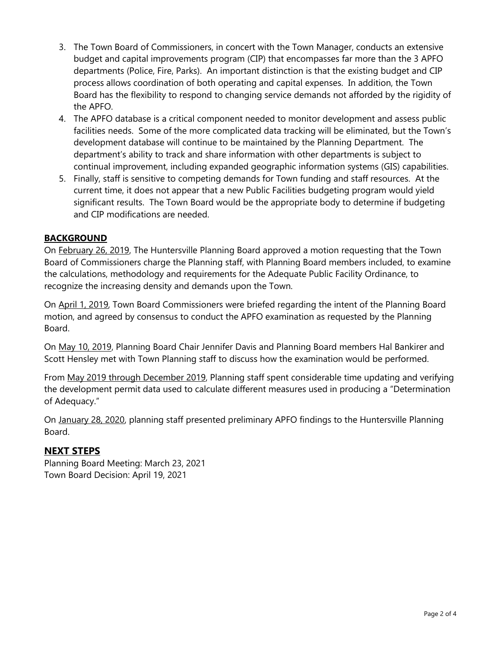- 3. The Town Board of Commissioners, in concert with the Town Manager, conducts an extensive budget and capital improvements program (CIP) that encompasses far more than the 3 APFO departments (Police, Fire, Parks). An important distinction is that the existing budget and CIP process allows coordination of both operating and capital expenses. In addition, the Town Board has the flexibility to respond to changing service demands not afforded by the rigidity of the APFO.
- 4. The APFO database is a critical component needed to monitor development and assess public facilities needs. Some of the more complicated data tracking will be eliminated, but the Town's development database will continue to be maintained by the Planning Department. The department's ability to track and share information with other departments is subject to continual improvement, including expanded geographic information systems (GIS) capabilities.
- 5. Finally, staff is sensitive to competing demands for Town funding and staff resources. At the current time, it does not appear that a new Public Facilities budgeting program would yield significant results. The Town Board would be the appropriate body to determine if budgeting and CIP modifications are needed.

#### **BACKGROUND**

On February 26, 2019, The Huntersville Planning Board approved a motion requesting that the Town Board of Commissioners charge the Planning staff, with Planning Board members included, to examine the calculations, methodology and requirements for the Adequate Public Facility Ordinance, to recognize the increasing density and demands upon the Town.

On April 1, 2019, Town Board Commissioners were briefed regarding the intent of the Planning Board motion, and agreed by consensus to conduct the APFO examination as requested by the Planning Board.

On May 10, 2019, Planning Board Chair Jennifer Davis and Planning Board members Hal Bankirer and Scott Hensley met with Town Planning staff to discuss how the examination would be performed.

From May 2019 through December 2019, Planning staff spent considerable time updating and verifying the development permit data used to calculate different measures used in producing a "Determination of Adequacy."

On January 28, 2020, planning staff presented preliminary APFO findings to the Huntersville Planning Board.

## **NEXT STEPS**

Planning Board Meeting: March 23, 2021 Town Board Decision: April 19, 2021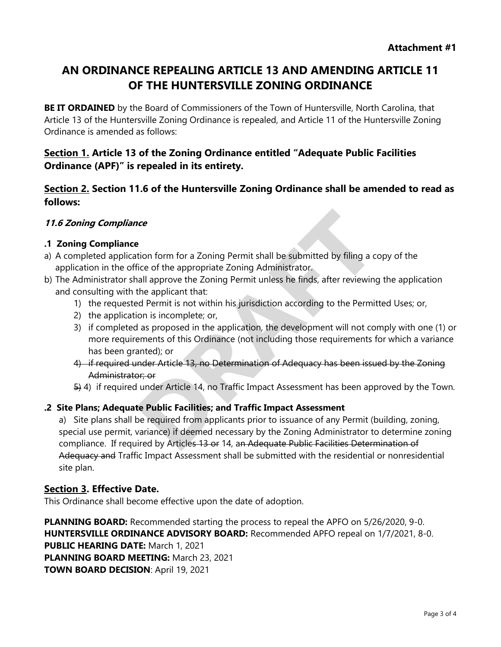# **AN ORDINANCE REPEALING ARTICLE 13 AND AMENDING ARTICLE 11 OF THE HUNTERSVILLE ZONING ORDINANCE**

**BE IT ORDAINED** by the Board of Commissioners of the Town of Huntersville, North Carolina, that Article 13 of the Huntersville Zoning Ordinance is repealed, and Article 11 of the Huntersville Zoning Ordinance is amended as follows:

## **Section 1. Article 13 of the Zoning Ordinance entitled "Adequate Public Facilities Ordinance (APF)" is repealed in its entirety.**

**Section 2. Section 11.6 of the Huntersville Zoning Ordinance shall be amended to read as follows:**

#### **11.6 Zoning Compliance**

#### **.1 Zoning Compliance**

- a) A completed application form for a Zoning Permit shall be submitted by filing a copy of the application in the office of the appropriate Zoning Administrator.
- b) The Administrator shall approve the Zoning Permit unless he finds, after reviewing the application and consulting with the applicant that:
	- 1) the requested Permit is not within his jurisdiction according to the Permitted Uses; or,
	- 2) the application is incomplete; or,
	- 3) if completed as proposed in the application, the development will not comply with one (1) or more requirements of this Ordinance (not including those requirements for which a variance has been granted); or
	- 4) if required under Article 13, no Determination of Adequacy has been issued by the Zoning Administrator; or
	- 5) 4) if required under Article 14, no Traffic Impact Assessment has been approved by the Town.

#### **.2 Site Plans; Adequate Public Facilities; and Traffic Impact Assessment**

a) Site plans shall be required from applicants prior to issuance of any Permit (building, zoning, special use permit, variance) if deemed necessary by the Zoning Administrator to determine zoning compliance. If required by Articles 13 or 14, an Adequate Public Facilities Determination of Adequacy and Traffic Impact Assessment shall be submitted with the residential or nonresidential site plan.

#### **Section 3. Effective Date.**

This Ordinance shall become effective upon the date of adoption.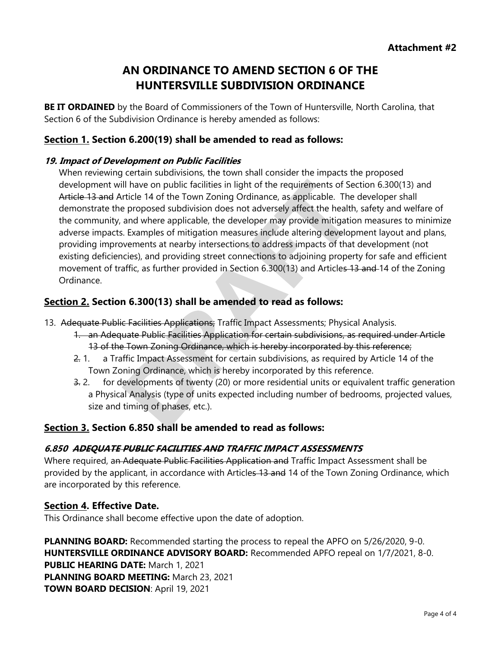# **AN ORDINANCE TO AMEND SECTION 6 OF THE HUNTERSVILLE SUBDIVISION ORDINANCE**

**BE IT ORDAINED** by the Board of Commissioners of the Town of Huntersville, North Carolina, that Section 6 of the Subdivision Ordinance is hereby amended as follows:

## **Section 1. Section 6.200(19) shall be amended to read as follows:**

#### **19. Impact of Development on Public Facilities**

When reviewing certain subdivisions, the town shall consider the impacts the proposed development will have on public facilities in light of the requirements of Section 6.300(13) and Article 13 and Article 14 of the Town Zoning Ordinance, as applicable. The developer shall demonstrate the proposed subdivision does not adversely affect the health, safety and welfare of the community, and where applicable, the developer may provide mitigation measures to minimize adverse impacts. Examples of mitigation measures include altering development layout and plans, providing improvements at nearby intersections to address impacts of that development (not existing deficiencies), and providing street connections to adjoining property for safe and efficient movement of traffic, as further provided in Section 6.300(13) and Articles 13 and 14 of the Zoning Ordinance.

#### **Section 2. Section 6.300(13) shall be amended to read as follows:**

- 13. Adequate Public Facilities Applications; Traffic Impact Assessments; Physical Analysis.
	- 1. an Adequate Public Facilities Application for certain subdivisions, as required under Article 13 of the Town Zoning Ordinance, which is hereby incorporated by this reference;
	- 2. 1. a Traffic Impact Assessment for certain subdivisions, as required by Article 14 of the Town Zoning Ordinance, which is hereby incorporated by this reference.
	- 3. 2. for developments of twenty (20) or more residential units or equivalent traffic generation a Physical Analysis (type of units expected including number of bedrooms, projected values, size and timing of phases, etc.).

#### **Section 3. Section 6.850 shall be amended to read as follows:**

#### **6.850 ADEQUATE PUBLIC FACILITIES AND TRAFFIC IMPACT ASSESSMENTS**

Where required, an Adequate Public Facilities Application and Traffic Impact Assessment shall be provided by the applicant, in accordance with Articles 13 and 14 of the Town Zoning Ordinance, which are incorporated by this reference.

#### **Section 4. Effective Date.**

This Ordinance shall become effective upon the date of adoption.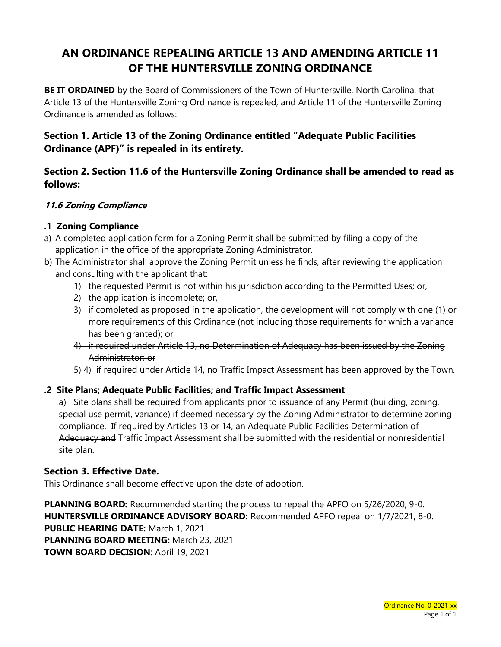# **AN ORDINANCE REPEALING ARTICLE 13 AND AMENDING ARTICLE 11 OF THE HUNTERSVILLE ZONING ORDINANCE**

**BE IT ORDAINED** by the Board of Commissioners of the Town of Huntersville, North Carolina, that Article 13 of the Huntersville Zoning Ordinance is repealed, and Article 11 of the Huntersville Zoning Ordinance is amended as follows:

## **Section 1. Article 13 of the Zoning Ordinance entitled "Adequate Public Facilities Ordinance (APF)" is repealed in its entirety.**

## **Section 2. Section 11.6 of the Huntersville Zoning Ordinance shall be amended to read as follows:**

## **11.6 Zoning Compliance**

#### **.1 Zoning Compliance**

- a) A completed application form for a Zoning Permit shall be submitted by filing a copy of the application in the office of the appropriate Zoning Administrator.
- b) The Administrator shall approve the Zoning Permit unless he finds, after reviewing the application and consulting with the applicant that:
	- 1) the requested Permit is not within his jurisdiction according to the Permitted Uses; or,
	- 2) the application is incomplete; or,
	- 3) if completed as proposed in the application, the development will not comply with one (1) or more requirements of this Ordinance (not including those requirements for which a variance has been granted); or
	- 4) if required under Article 13, no Determination of Adequacy has been issued by the Zoning Administrator; or
	- 5) 4) if required under Article 14, no Traffic Impact Assessment has been approved by the Town.

## **.2 Site Plans; Adequate Public Facilities; and Traffic Impact Assessment**

a) Site plans shall be required from applicants prior to issuance of any Permit (building, zoning, special use permit, variance) if deemed necessary by the Zoning Administrator to determine zoning compliance. If required by Articles 13 or 14, an Adequate Public Facilities Determination of Adequacy and Traffic Impact Assessment shall be submitted with the residential or nonresidential site plan.

## **Section 3. Effective Date.**

This Ordinance shall become effective upon the date of adoption.